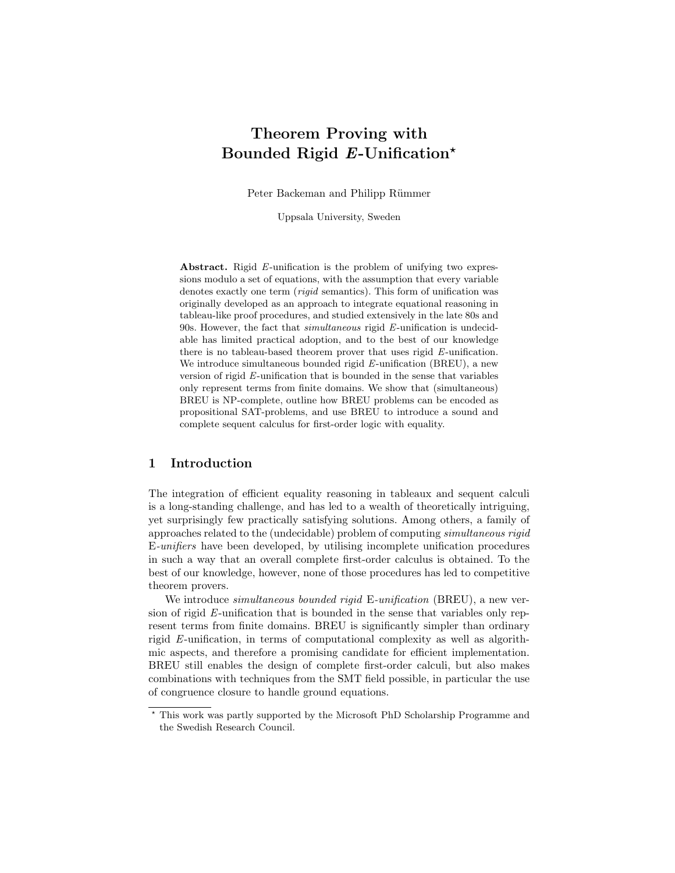# Theorem Proving with Bounded Rigid  $E$ -Unification<sup>\*</sup>

Peter Backeman and Philipp Rümmer

Uppsala University, Sweden

Abstract. Rigid E-unification is the problem of unifying two expressions modulo a set of equations, with the assumption that every variable denotes exactly one term (rigid semantics). This form of unification was originally developed as an approach to integrate equational reasoning in tableau-like proof procedures, and studied extensively in the late 80s and 90s. However, the fact that simultaneous rigid E-unification is undecidable has limited practical adoption, and to the best of our knowledge there is no tableau-based theorem prover that uses rigid E-unification. We introduce simultaneous bounded rigid  $E$ -unification (BREU), a new version of rigid E-unification that is bounded in the sense that variables only represent terms from finite domains. We show that (simultaneous) BREU is NP-complete, outline how BREU problems can be encoded as propositional SAT-problems, and use BREU to introduce a sound and complete sequent calculus for first-order logic with equality.

### 1 Introduction

The integration of efficient equality reasoning in tableaux and sequent calculi is a long-standing challenge, and has led to a wealth of theoretically intriguing, yet surprisingly few practically satisfying solutions. Among others, a family of approaches related to the (undecidable) problem of computing simultaneous rigid E-unifiers have been developed, by utilising incomplete unification procedures in such a way that an overall complete first-order calculus is obtained. To the best of our knowledge, however, none of those procedures has led to competitive theorem provers.

We introduce *simultaneous bounded rigid* E-unification (BREU), a new version of rigid E-unification that is bounded in the sense that variables only represent terms from finite domains. BREU is significantly simpler than ordinary rigid E-unification, in terms of computational complexity as well as algorithmic aspects, and therefore a promising candidate for efficient implementation. BREU still enables the design of complete first-order calculi, but also makes combinations with techniques from the SMT field possible, in particular the use of congruence closure to handle ground equations.

<sup>?</sup> This work was partly supported by the Microsoft PhD Scholarship Programme and the Swedish Research Council.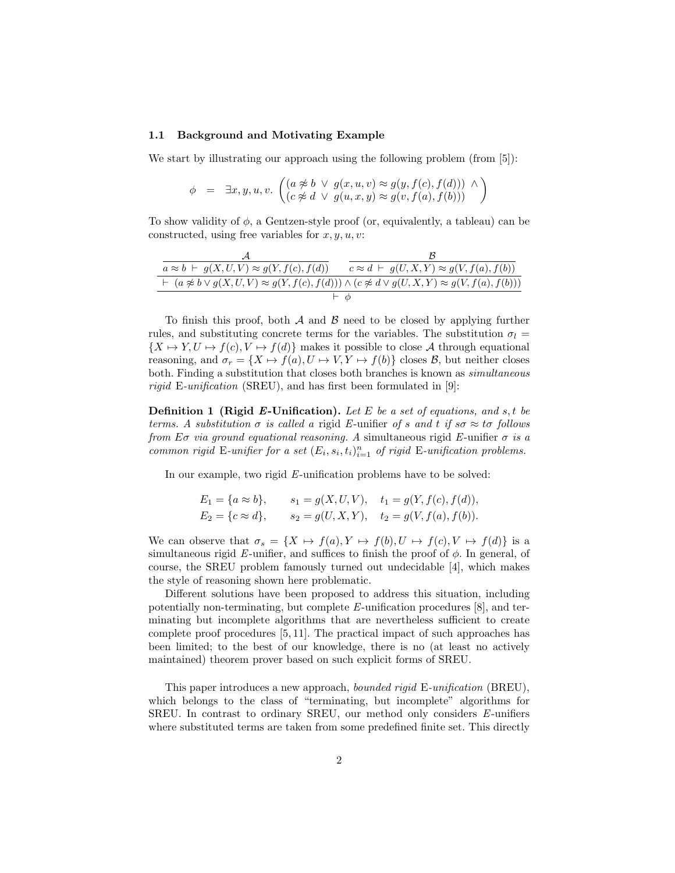#### 1.1 Background and Motivating Example

We start by illustrating our approach using the following problem (from [5]):

$$
\phi = \exists x, y, u, v. \begin{pmatrix} (a \not\approx b \lor g(x, u, v) \approx g(y, f(c), f(d))) \land \\ (c \not\approx d \lor g(u, x, y) \approx g(v, f(a), f(b))) \end{pmatrix}
$$

To show validity of  $\phi$ , a Gentzen-style proof (or, equivalently, a tableau) can be constructed, using free variables for  $x, y, u, v$ :

| $a \approx b \vdash g(X, U, V) \approx g(Y, f(c), f(d))$                                                                             | $c \approx d + g(U, X, Y) \approx g(V, f(a), f(b))$ |  |  |  |
|--------------------------------------------------------------------------------------------------------------------------------------|-----------------------------------------------------|--|--|--|
| $\vdash (a \not\approx b \lor g(X, U, V) \approx g(Y, f(c), f(d))) \land (c \not\approx d \lor g(U, X, Y) \approx g(V, f(a), f(b)))$ |                                                     |  |  |  |
| Εφ                                                                                                                                   |                                                     |  |  |  |

To finish this proof, both  $A$  and  $B$  need to be closed by applying further rules, and substituting concrete terms for the variables. The substitution  $\sigma_l =$  ${X \mapsto Y, U \mapsto f(c), V \mapsto f(d)}$  makes it possible to close A through equational reasoning, and  $\sigma_r = \{X \mapsto f(a), U \mapsto V, Y \mapsto f(b)\}\)$  closes  $\mathcal{B}$ , but neither closes both. Finding a substitution that closes both branches is known as simultaneous rigid E-unification (SREU), and has first been formulated in [9]:

**Definition 1 (Rigid E-Unification).** Let  $E$  be a set of equations, and s, t be terms. A substitution  $\sigma$  is called a rigid E-unifier of s and t if  $s\sigma \approx t\sigma$  follows from  $E\sigma$  via ground equational reasoning. A simultaneous rigid E-unifier  $\sigma$  is a common rigid E-unifier for a set  $(E_i, s_i, t_i)_{i=1}^n$  of rigid E-unification problems.

In our example, two rigid E-unification problems have to be solved:

$$
E_1 = \{a \approx b\}, \qquad s_1 = g(X, U, V), \quad t_1 = g(Y, f(c), f(d)),
$$
  
\n
$$
E_2 = \{c \approx d\}, \qquad s_2 = g(U, X, Y), \quad t_2 = g(V, f(a), f(b)).
$$

We can observe that  $\sigma_s = \{X \mapsto f(a), Y \mapsto f(b), U \mapsto f(c), V \mapsto f(d)\}\$ is a simultaneous rigid E-unifier, and suffices to finish the proof of  $\phi$ . In general, of course, the SREU problem famously turned out undecidable [4], which makes the style of reasoning shown here problematic.

Different solutions have been proposed to address this situation, including potentially non-terminating, but complete E-unification procedures [8], and terminating but incomplete algorithms that are nevertheless sufficient to create complete proof procedures [5, 11]. The practical impact of such approaches has been limited; to the best of our knowledge, there is no (at least no actively maintained) theorem prover based on such explicit forms of SREU.

This paper introduces a new approach, bounded rigid E-unification (BREU), which belongs to the class of "terminating, but incomplete" algorithms for SREU. In contrast to ordinary SREU, our method only considers E-unifiers where substituted terms are taken from some predefined finite set. This directly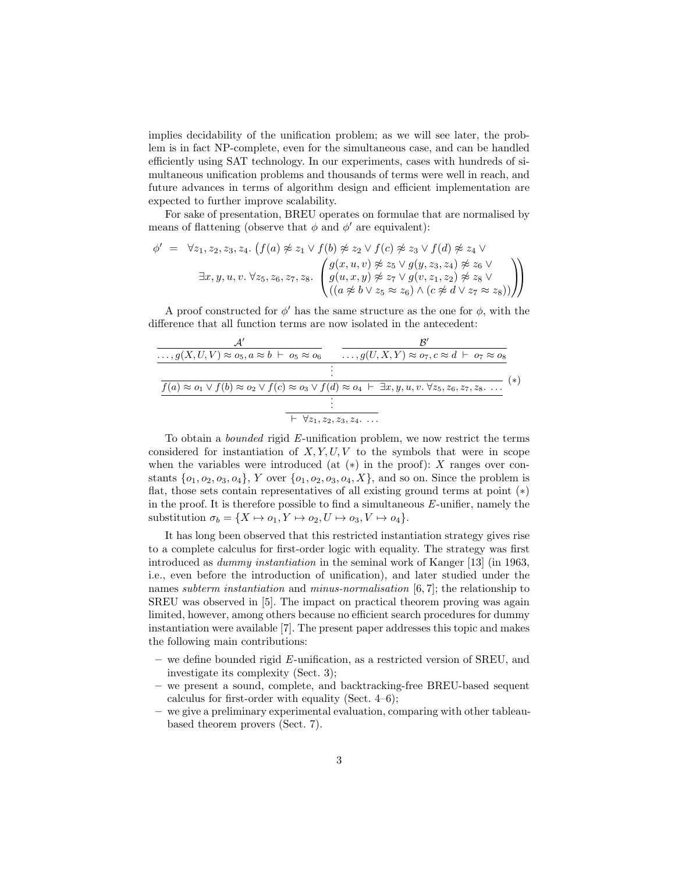implies decidability of the unification problem; as we will see later, the problem is in fact NP-complete, even for the simultaneous case, and can be handled efficiently using SAT technology. In our experiments, cases with hundreds of simultaneous unification problems and thousands of terms were well in reach, and future advances in terms of algorithm design and efficient implementation are expected to further improve scalability.

For sake of presentation, BREU operates on formulae that are normalised by means of flattening (observe that  $\phi$  and  $\phi'$  are equivalent):

$$
\phi' = \forall z_1, z_2, z_3, z_4. (f(a) \not\approx z_1 \lor f(b) \not\approx z_2 \lor f(c) \not\approx z_3 \lor f(d) \not\approx z_4 \lor
$$
  

$$
\exists x, y, u, v. \forall z_5, z_6, z_7, z_8. \left( \begin{array}{c} g(x, u, v) \not\approx z_5 \lor g(y, z_3, z_4) \not\approx z_6 \lor \\ g(u, x, y) \not\approx z_7 \lor g(v, z_1, z_2) \not\approx z_8 \lor \\ ((a \not\approx b \lor z_5 \approx z_6) \land (c \not\approx d \lor z_7 \approx z_8)) \end{array} \right)
$$

A proof constructed for  $\phi'$  has the same structure as the one for  $\phi$ , with the difference that all function terms are now isolated in the antecedent:

| $\ldots, g(X, U, V) \approx o_5, a \approx b \vdash o_5 \approx o_6$                                                                         | $\dots, q(U, X, Y) \approx o_7, c \approx d + o_7 \approx o_8$ |
|----------------------------------------------------------------------------------------------------------------------------------------------|----------------------------------------------------------------|
|                                                                                                                                              |                                                                |
| $f(a) \approx o_1 \vee f(b) \approx o_2 \vee f(c) \approx o_3 \vee f(d) \approx o_4 + \exists x, y, u, v. \forall z_5, z_6, z_7, z_8. \dots$ | ( *                                                            |
|                                                                                                                                              |                                                                |
| $\vdash \forall z_1, z_2, z_3, z_4. \dots$                                                                                                   |                                                                |

To obtain a bounded rigid E-unification problem, we now restrict the terms considered for instantiation of  $X, Y, U, V$  to the symbols that were in scope when the variables were introduced (at  $(*)$ ) in the proof): X ranges over constants  $\{o_1, o_2, o_3, o_4\}$ , Y over  $\{o_1, o_2, o_3, o_4, X\}$ , and so on. Since the problem is flat, those sets contain representatives of all existing ground terms at point  $(*)$ in the proof. It is therefore possible to find a simultaneous  $E$ -unifier, namely the substitution  $\sigma_b = \{X \mapsto o_1, Y \mapsto o_2, U \mapsto o_3, V \mapsto o_4\}.$ 

It has long been observed that this restricted instantiation strategy gives rise to a complete calculus for first-order logic with equality. The strategy was first introduced as dummy instantiation in the seminal work of Kanger [13] (in 1963, i.e., even before the introduction of unification), and later studied under the names *subterm instantiation* and *minus-normalisation* [6, 7]; the relationship to SREU was observed in [5]. The impact on practical theorem proving was again limited, however, among others because no efficient search procedures for dummy instantiation were available [7]. The present paper addresses this topic and makes the following main contributions:

- we define bounded rigid E-unification, as a restricted version of SREU, and investigate its complexity (Sect. 3);
- we present a sound, complete, and backtracking-free BREU-based sequent calculus for first-order with equality (Sect. 4–6);
- we give a preliminary experimental evaluation, comparing with other tableaubased theorem provers (Sect. 7).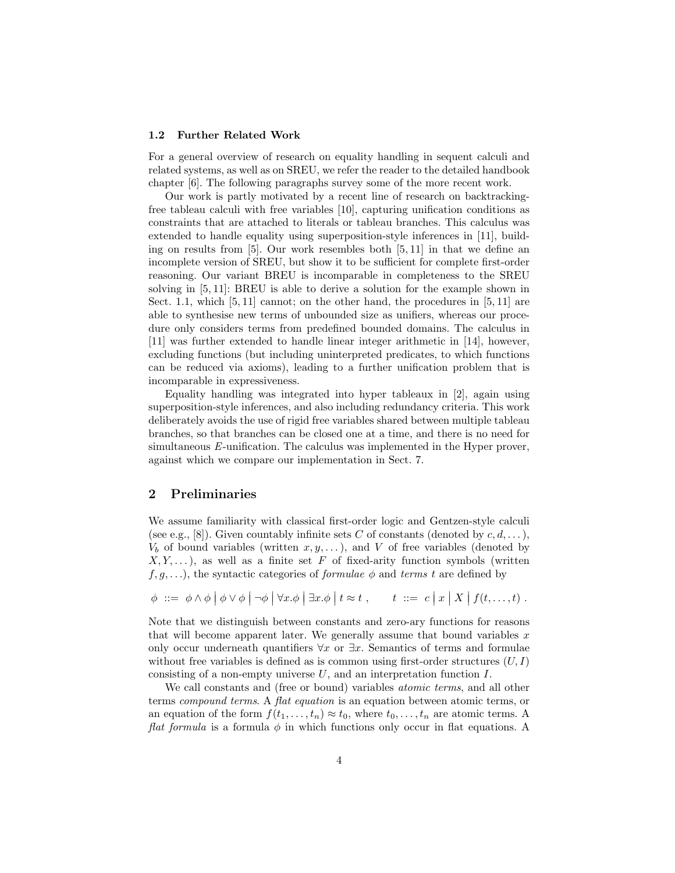#### 1.2 Further Related Work

For a general overview of research on equality handling in sequent calculi and related systems, as well as on SREU, we refer the reader to the detailed handbook chapter [6]. The following paragraphs survey some of the more recent work.

Our work is partly motivated by a recent line of research on backtrackingfree tableau calculi with free variables [10], capturing unification conditions as constraints that are attached to literals or tableau branches. This calculus was extended to handle equality using superposition-style inferences in [11], building on results from [5]. Our work resembles both [5, 11] in that we define an incomplete version of SREU, but show it to be sufficient for complete first-order reasoning. Our variant BREU is incomparable in completeness to the SREU solving in [5, 11]: BREU is able to derive a solution for the example shown in Sect. 1.1, which  $[5, 11]$  cannot; on the other hand, the procedures in  $[5, 11]$  are able to synthesise new terms of unbounded size as unifiers, whereas our procedure only considers terms from predefined bounded domains. The calculus in [11] was further extended to handle linear integer arithmetic in [14], however, excluding functions (but including uninterpreted predicates, to which functions can be reduced via axioms), leading to a further unification problem that is incomparable in expressiveness.

Equality handling was integrated into hyper tableaux in [2], again using superposition-style inferences, and also including redundancy criteria. This work deliberately avoids the use of rigid free variables shared between multiple tableau branches, so that branches can be closed one at a time, and there is no need for simultaneous E-unification. The calculus was implemented in the Hyper prover, against which we compare our implementation in Sect. 7.

### 2 Preliminaries

We assume familiarity with classical first-order logic and Gentzen-style calculi (see e.g., [8]). Given countably infinite sets C of constants (denoted by  $c, d, \ldots$ ),  $V_b$  of bound variables (written  $x, y, \ldots$ ), and V of free variables (denoted by  $X, Y, \ldots$ ), as well as a finite set F of fixed-arity function symbols (written  $f, g, \ldots$ , the syntactic categories of *formulae*  $\phi$  and *terms t* are defined by

$$
\phi \ ::= \ \phi \wedge \phi \mid \phi \vee \phi \mid \neg \phi \mid \forall x. \phi \mid \exists x. \phi \mid t \approx t \ , \qquad t \ ::= \ c \mid x \mid X \mid f(t, \dots, t) \ .
$$

Note that we distinguish between constants and zero-ary functions for reasons that will become apparent later. We generally assume that bound variables  $x$ only occur underneath quantifiers  $\forall x$  or  $\exists x$ . Semantics of terms and formulae without free variables is defined as is common using first-order structures  $(U, I)$ consisting of a non-empty universe  $U$ , and an interpretation function  $I$ .

We call constants and (free or bound) variables *atomic terms*, and all other terms compound terms. A flat equation is an equation between atomic terms, or an equation of the form  $f(t_1, \ldots, t_n) \approx t_0$ , where  $t_0, \ldots, t_n$  are atomic terms. A flat formula is a formula  $\phi$  in which functions only occur in flat equations. A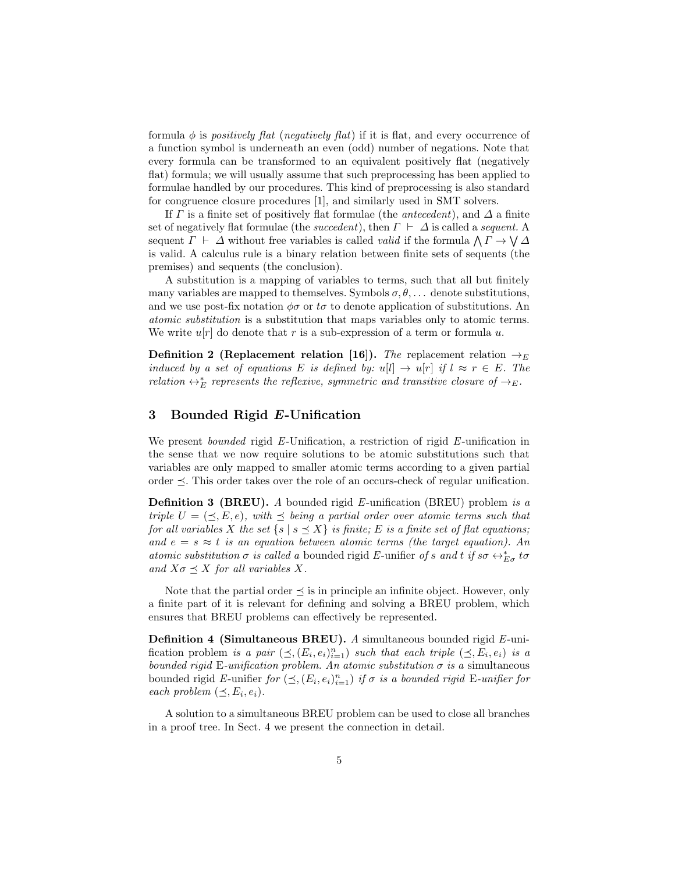formula  $\phi$  is positively flat (negatively flat) if it is flat, and every occurrence of a function symbol is underneath an even (odd) number of negations. Note that every formula can be transformed to an equivalent positively flat (negatively flat) formula; we will usually assume that such preprocessing has been applied to formulae handled by our procedures. This kind of preprocessing is also standard for congruence closure procedures [1], and similarly used in SMT solvers.

If  $\Gamma$  is a finite set of positively flat formulae (the *antecedent*), and  $\Delta$  a finite set of negatively flat formulae (the succedent), then  $\Gamma \vdash \Delta$  is called a sequent. A sequent  $\Gamma \vdash \Delta$  without free variables is called *valid* if the formula  $\bigwedge \Gamma \to \bigvee \Delta$ is valid. A calculus rule is a binary relation between finite sets of sequents (the premises) and sequents (the conclusion).

A substitution is a mapping of variables to terms, such that all but finitely many variables are mapped to themselves. Symbols  $\sigma, \theta, \ldots$  denote substitutions, and we use post-fix notation  $\phi\sigma$  or  $t\sigma$  to denote application of substitutions. An atomic substitution is a substitution that maps variables only to atomic terms. We write  $u[r]$  do denote that r is a sub-expression of a term or formula u.

**Definition 2 (Replacement relation [16]).** The replacement relation  $\rightarrow_E$ induced by a set of equations E is defined by:  $u[l] \rightarrow u[r]$  if  $l \approx r \in E$ . The relation  $\leftrightarrow_E^*$  represents the reflexive, symmetric and transitive closure of  $\rightarrow_E$ .

# 3 Bounded Rigid E-Unification

We present *bounded* rigid E-Unification, a restriction of rigid E-unification in the sense that we now require solutions to be atomic substitutions such that variables are only mapped to smaller atomic terms according to a given partial order  $\preceq$ . This order takes over the role of an occurs-check of regular unification.

**Definition 3 (BREU).** A bounded rigid  $E$ -unification (BREU) problem is a triple  $U = (\preceq, E, e)$ , with  $\preceq$  being a partial order over atomic terms such that for all variables X the set  $\{s \mid s \prec X\}$  is finite; E is a finite set of flat equations; and  $e = s \approx t$  is an equation between atomic terms (the target equation). An atomic substitution  $\sigma$  is called a bounded rigid E-unifier of s and t if s $\sigma \leftrightarrow_{E_{\sigma}}^* t \sigma$ and  $X\sigma \preceq X$  for all variables X.

Note that the partial order  $\prec$  is in principle an infinite object. However, only a finite part of it is relevant for defining and solving a BREU problem, which ensures that BREU problems can effectively be represented.

Definition 4 (Simultaneous BREU). A simultaneous bounded rigid E-unification problem is a pair  $(\preceq, (E_i, e_i)_{i=1}^n)$  such that each triple  $(\preceq, E_i, e_i)$  is a bounded rigid E-unification problem. An atomic substitution  $\sigma$  is a simultaneous bounded rigid E-unifier for  $(\preceq,(E_i,e_i)_{i=1}^n)$  if  $\sigma$  is a bounded rigid E-unifier for each problem  $(\preceq, E_i, e_i)$ .

A solution to a simultaneous BREU problem can be used to close all branches in a proof tree. In Sect. 4 we present the connection in detail.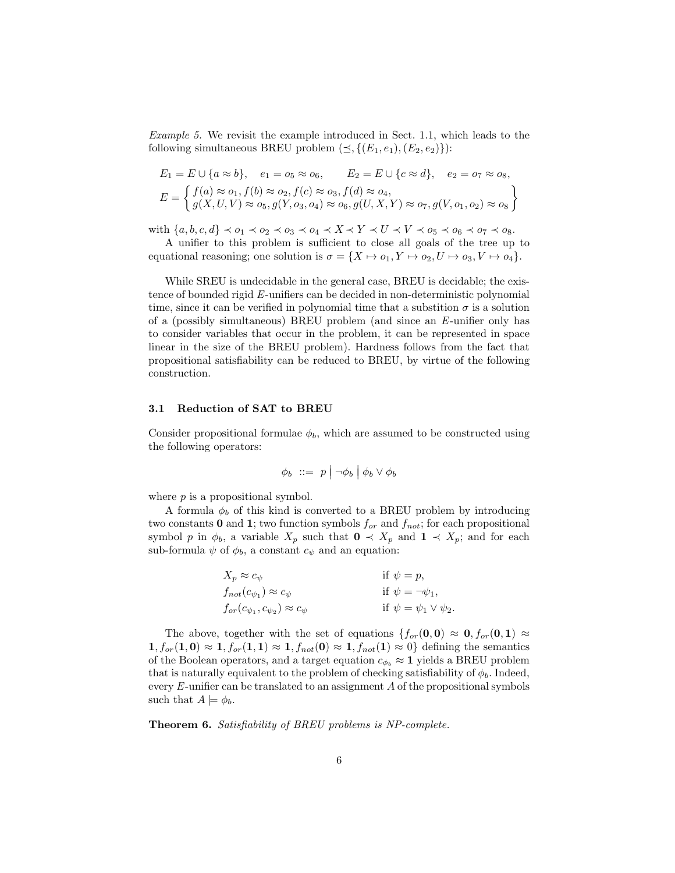Example 5. We revisit the example introduced in Sect. 1.1, which leads to the following simultaneous BREU problem  $(\preceq, \{(E_1, e_1), (E_2, e_2)\})$ :

$$
E_1 = E \cup \{a \approx b\}, \quad e_1 = o_5 \approx o_6, \quad E_2 = E \cup \{c \approx d\}, \quad e_2 = o_7 \approx o_8,
$$
  

$$
E = \begin{cases} f(a) \approx o_1, f(b) \approx o_2, f(c) \approx o_3, f(d) \approx o_4, \\ g(X, U, V) \approx o_5, g(Y, o_3, o_4) \approx o_6, g(U, X, Y) \approx o_7, g(V, o_1, o_2) \approx o_8 \end{cases}
$$

with  $\{a, b, c, d\} \prec o_1 \prec o_2 \prec o_3 \prec o_4 \prec X \prec Y \prec U \prec V \prec o_5 \prec o_6 \prec o_7 \prec o_8.$ 

A unifier to this problem is sufficient to close all goals of the tree up to equational reasoning; one solution is  $\sigma = \{X \mapsto o_1, Y \mapsto o_2, U \mapsto o_3, V \mapsto o_4\}.$ 

While SREU is undecidable in the general case, BREU is decidable; the existence of bounded rigid E-unifiers can be decided in non-deterministic polynomial time, since it can be verified in polynomial time that a substition  $\sigma$  is a solution of a (possibly simultaneous) BREU problem (and since an E-unifier only has to consider variables that occur in the problem, it can be represented in space linear in the size of the BREU problem). Hardness follows from the fact that propositional satisfiability can be reduced to BREU, by virtue of the following construction.

### 3.1 Reduction of SAT to BREU

Consider propositional formulae  $\phi_b$ , which are assumed to be constructed using the following operators:

$$
\phi_b \ ::= \ p \mid \neg \phi_b \mid \phi_b \vee \phi_b
$$

where  $p$  is a propositional symbol.

A formula  $\phi_b$  of this kind is converted to a BREU problem by introducing two constants 0 and 1; two function symbols  $f_{or}$  and  $f_{not}$ ; for each propositional symbol p in  $\phi_b$ , a variable  $X_p$  such that  $\mathbf{0} \prec X_p$  and  $\mathbf{1} \prec X_p$ ; and for each sub-formula  $\psi$  of  $\phi_b$ , a constant  $c_{\psi}$  and an equation:

| $X_p \approx c_{\psi}$                           | if $\psi = p$ ,                  |
|--------------------------------------------------|----------------------------------|
| $f_{not}(c_{\psi_1}) \approx c_{\psi_1}$         | if $\psi = \neg \psi_1$ ,        |
| $f_{or}(c_{\psi_1},c_{\psi_2}) \approx c_{\psi}$ | if $\psi = \psi_1 \vee \psi_2$ . |

The above, together with the set of equations  ${f_{or}(0, 0) \approx 0, f_{or}(0, 1) \approx}$  $1, f_{or}(1,0) \approx 1, f_{or}(1,1) \approx 1, f_{not}(0) \approx 1, f_{not}(1) \approx 0$  defining the semantics of the Boolean operators, and a target equation  $c_{\phi_b} \approx 1$  yields a BREU problem that is naturally equivalent to the problem of checking satisfiability of  $\phi_b$ . Indeed, every E-unifier can be translated to an assignment A of the propositional symbols such that  $A \models \phi_b$ .

Theorem 6. Satisfiability of BREU problems is NP-complete.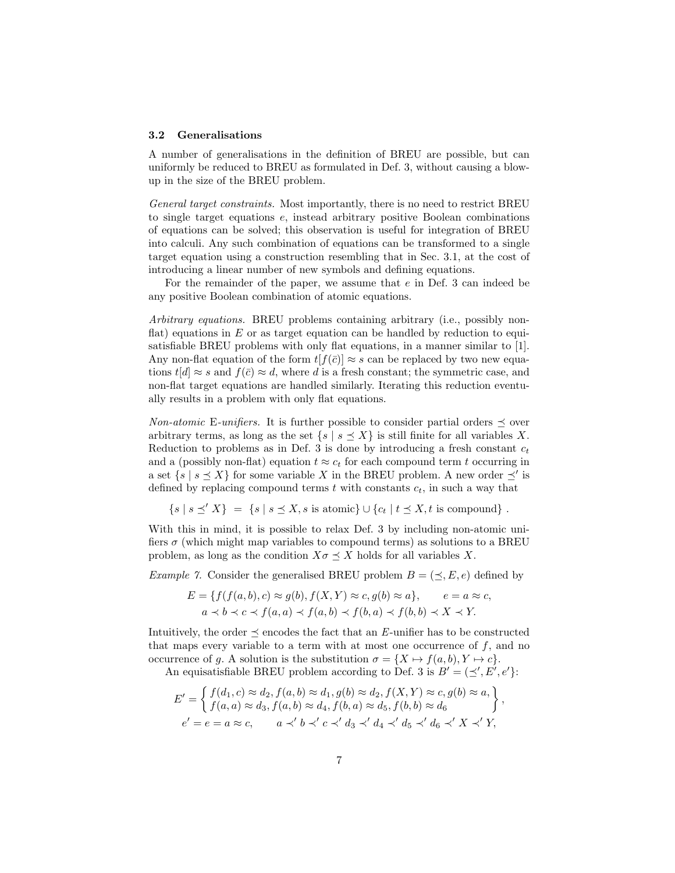#### 3.2 Generalisations

A number of generalisations in the definition of BREU are possible, but can uniformly be reduced to BREU as formulated in Def. 3, without causing a blowup in the size of the BREU problem.

General target constraints. Most importantly, there is no need to restrict BREU to single target equations e, instead arbitrary positive Boolean combinations of equations can be solved; this observation is useful for integration of BREU into calculi. Any such combination of equations can be transformed to a single target equation using a construction resembling that in Sec. 3.1, at the cost of introducing a linear number of new symbols and defining equations.

For the remainder of the paper, we assume that  $e$  in Def. 3 can indeed be any positive Boolean combination of atomic equations.

Arbitrary equations. BREU problems containing arbitrary (i.e., possibly nonflat) equations in  $E$  or as target equation can be handled by reduction to equisatisfiable BREU problems with only flat equations, in a manner similar to [1]. Any non-flat equation of the form  $t[f(\bar{c})] \approx s$  can be replaced by two new equations  $t[d] \approx s$  and  $f(\bar{c}) \approx d$ , where d is a fresh constant; the symmetric case, and non-flat target equations are handled similarly. Iterating this reduction eventually results in a problem with only flat equations.

Non-atomic E-unifiers. It is further possible to consider partial orders  $\preceq$  over arbitrary terms, as long as the set  $\{s \mid s \leq X\}$  is still finite for all variables X. Reduction to problems as in Def. 3 is done by introducing a fresh constant  $c_t$ and a (possibly non-flat) equation  $t \approx c_t$  for each compound term t occurring in a set  $\{s \mid s \leq X\}$  for some variable X in the BREU problem. A new order  $\preceq'$  is defined by replacing compound terms  $t$  with constants  $c_t$ , in such a way that

 $\{s \mid s \preceq' X\} = \{s \mid s \preceq X, s \text{ is atomic}\} \cup \{c_t \mid t \preceq X, t \text{ is compound}\}.$ 

With this in mind, it is possible to relax Def. 3 by including non-atomic unifiers  $\sigma$  (which might map variables to compound terms) as solutions to a BREU problem, as long as the condition  $X\sigma \preceq X$  holds for all variables X.

*Example 7.* Consider the generalised BREU problem  $B = (\preceq, E, e)$  defined by

$$
E = \{ f(f(a, b), c) \approx g(b), f(X, Y) \approx c, g(b) \approx a \}, \qquad e = a \approx c,
$$
  

$$
a \prec b \prec c \prec f(a, a) \prec f(a, b) \prec f(b, a) \prec f(b, b) \prec X \prec Y.
$$

Intuitively, the order  $\prec$  encodes the fact that an E-unifier has to be constructed that maps every variable to a term with at most one occurrence of  $f$ , and no occurrence of g. A solution is the substitution  $\sigma = \{X \mapsto f(a, b), Y \mapsto c\}.$ 

An equisatisfiable BREU problem according to Def. 3 is  $B' = (\preceq', E', e')$ :

$$
E' = \begin{cases} f(d_1, c) \approx d_2, f(a, b) \approx d_1, g(b) \approx d_2, f(X, Y) \approx c, g(b) \approx a, \\ f(a, a) \approx d_3, f(a, b) \approx d_4, f(b, a) \approx d_5, f(b, b) \approx d_6 \end{cases},
$$
  

$$
e' = e = a \approx c, \qquad a \prec' b \prec' c \prec' d_3 \prec' d_4 \prec' d_5 \prec' d_6 \prec' X \prec' Y,
$$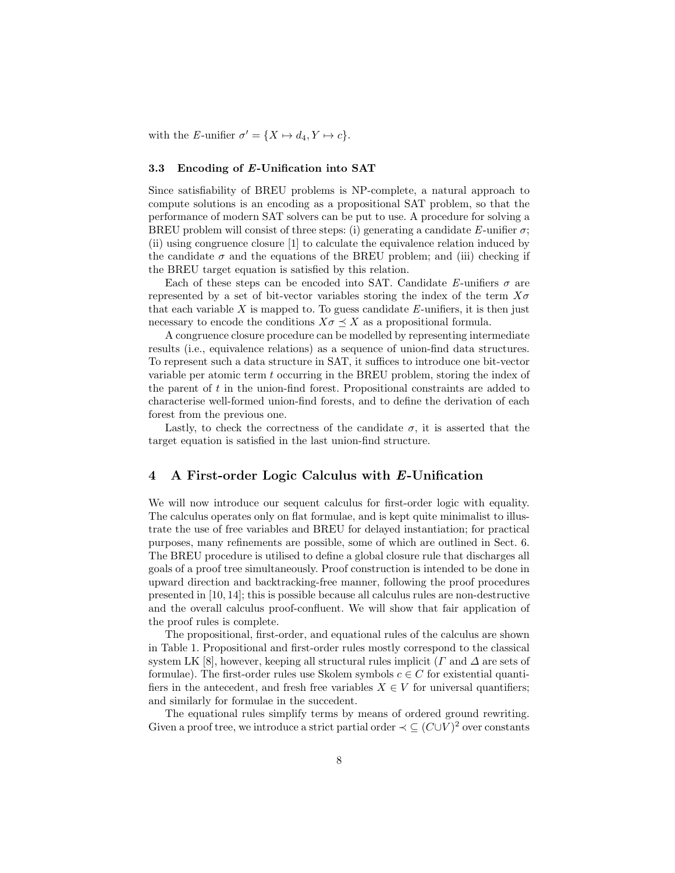with the E-unifier  $\sigma' = \{X \mapsto d_4, Y \mapsto c\}.$ 

### 3.3 Encoding of E-Unification into SAT

Since satisfiability of BREU problems is NP-complete, a natural approach to compute solutions is an encoding as a propositional SAT problem, so that the performance of modern SAT solvers can be put to use. A procedure for solving a BREU problem will consist of three steps: (i) generating a candidate E-unifier  $\sigma$ ; (ii) using congruence closure [1] to calculate the equivalence relation induced by the candidate  $\sigma$  and the equations of the BREU problem; and (iii) checking if the BREU target equation is satisfied by this relation.

Each of these steps can be encoded into SAT. Candidate E-unifiers  $\sigma$  are represented by a set of bit-vector variables storing the index of the term  $X\sigma$ that each variable  $X$  is mapped to. To guess candidate  $E$ -unifiers, it is then just necessary to encode the conditions  $X\sigma \preceq X$  as a propositional formula.

A congruence closure procedure can be modelled by representing intermediate results (i.e., equivalence relations) as a sequence of union-find data structures. To represent such a data structure in SAT, it suffices to introduce one bit-vector variable per atomic term t occurring in the BREU problem, storing the index of the parent of  $t$  in the union-find forest. Propositional constraints are added to characterise well-formed union-find forests, and to define the derivation of each forest from the previous one.

Lastly, to check the correctness of the candidate  $\sigma$ , it is asserted that the target equation is satisfied in the last union-find structure.

# 4 A First-order Logic Calculus with E-Unification

We will now introduce our sequent calculus for first-order logic with equality. The calculus operates only on flat formulae, and is kept quite minimalist to illustrate the use of free variables and BREU for delayed instantiation; for practical purposes, many refinements are possible, some of which are outlined in Sect. 6. The BREU procedure is utilised to define a global closure rule that discharges all goals of a proof tree simultaneously. Proof construction is intended to be done in upward direction and backtracking-free manner, following the proof procedures presented in [10, 14]; this is possible because all calculus rules are non-destructive and the overall calculus proof-confluent. We will show that fair application of the proof rules is complete.

The propositional, first-order, and equational rules of the calculus are shown in Table 1. Propositional and first-order rules mostly correspond to the classical system LK [8], however, keeping all structural rules implicit ( $\Gamma$  and  $\Delta$  are sets of formulae). The first-order rules use Skolem symbols  $c \in C$  for existential quantifiers in the antecedent, and fresh free variables  $X \in V$  for universal quantifiers; and similarly for formulae in the succedent.

The equational rules simplify terms by means of ordered ground rewriting. Given a proof tree, we introduce a strict partial order  $\prec \subseteq (C\cup V)^2$  over constants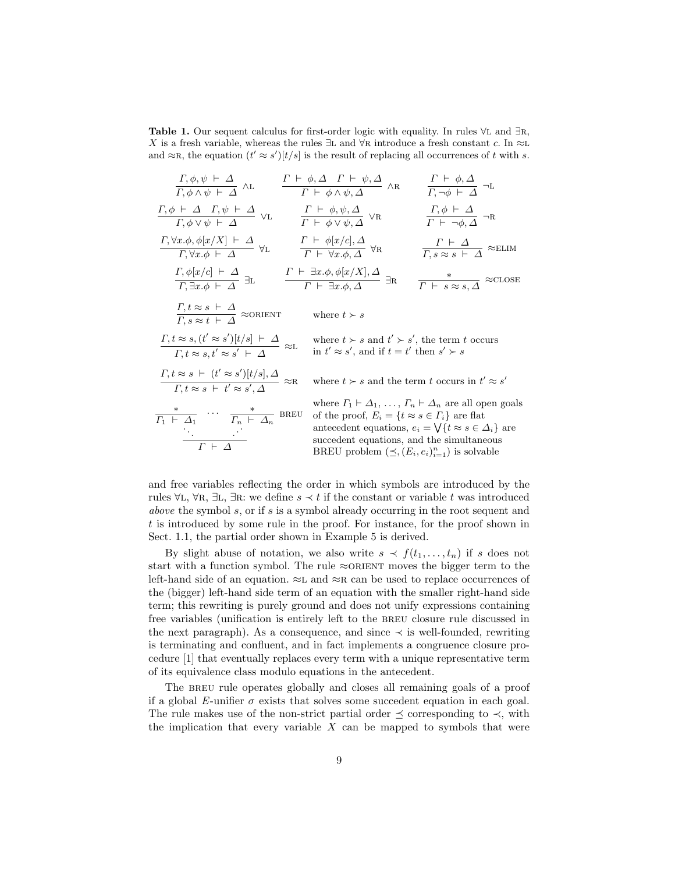Table 1. Our sequent calculus for first-order logic with equality. In rules  $\forall L$  and  $\exists R$ , X is a fresh variable, whereas the rules  $\exists$ L and  $\forall$ R introduce a fresh constant c. In ≈L and  $\approx$ R, the equation  $(t' \approx s')[t/s]$  is the result of replacing all occurrences of t with s.

| $\frac{\varGamma, \phi, \psi \vdash \varDelta}{\varGamma, \phi \land \psi \vdash \varDelta} \land L$                                 | $\frac{\Gamma\;\vdash\; \phi, \varDelta\  \  \, \Gamma\;\vdash\;\psi, \varDelta}{\Gamma\;\vdash\; \phi \land \psi, \varDelta} \;\land{\rm R}$ | $\frac{\Gamma \vdash \phi, \Delta}{\Gamma, \neg \phi \vdash \Delta} \neg L$                                                                                                                                    |
|--------------------------------------------------------------------------------------------------------------------------------------|-----------------------------------------------------------------------------------------------------------------------------------------------|----------------------------------------------------------------------------------------------------------------------------------------------------------------------------------------------------------------|
| $\frac{\Gamma, \phi \vdash \Delta \quad \Gamma, \psi \vdash \Delta}{\Gamma, \phi \vee \psi \vdash \Delta} \lor L$                    | $\frac{\Gamma \vdash \phi, \psi, \Delta}{\Gamma \vdash \phi \vee \psi, \Delta} \vee R$                                                        | $\frac{\Gamma, \phi \vdash \Delta}{\Gamma \vdash \neg \phi, \Delta} \neg R$                                                                                                                                    |
| $\frac{\Gamma,\forall x.\phi,\phi[x/X] \;\vdash\; \Delta}{\Gamma,\forall x.\phi \;\vdash\; \Delta} \;\; \forall L$                   | $\frac{\Gamma \ \vdash \ \phi[x/c], \Delta}{\Gamma \ \vdash \ \forall x. \phi, \Delta} \ \forall R$                                           | $\frac{\Gamma \vdash \Delta}{\Gamma s \approx s \vdash \Delta} \approx ELM$                                                                                                                                    |
| $\frac{\Gamma, \phi[x/c] \vdash \Delta}{\Gamma, \exists x. \phi \vdash \Delta} \exists L$                                            | $\frac{\Gamma \ \vdash \ \exists x.\phi,\phi[x/X],\Delta}{\Gamma \ \vdash \ \exists x.\phi,\Delta} \ \exists R$                               | $\frac{*}{\Gamma\;\vdash\; s\approx s, \varDelta} \approx c\text{lose}$                                                                                                                                        |
| $\frac{\Gamma, t \approx s \vdash \Delta}{\Gamma, s \approx t \vdash \Delta} \approx$ ORIENT                                         | where $t \succ s$                                                                                                                             |                                                                                                                                                                                                                |
| $\frac{\Gamma, t \approx s, (t' \approx s')[t/s] \ \vdash \ \Delta}{\Gamma, t \approx s, t' \approx s' \ \vdash \ \Delta} \approx L$ | where $t > s$ and $t' > s'$ , the term t occurs<br>in $t' \approx s'$ , and if $t = t'$ then $s' \succ s$                                     |                                                                                                                                                                                                                |
| $\frac{\Gamma, t \approx s \vdash (t' \approx s')[t/s], \Delta}{\Gamma, t \approx s \vdash t' \approx s', \Delta} \approx R$         |                                                                                                                                               | where $t > s$ and the term t occurs in $t' \approx s'$                                                                                                                                                         |
| $\frac{\ast}{\Gamma_1 \vdash \Delta_1} \cdots \frac{\ast}{\Gamma_n \vdash \Delta_n}$ BREU<br>$\frac{1}{\sqrt{1 + \Delta}}$           | of the proof, $E_i = \{t \approx s \in \Gamma_i\}$ are flat<br>BREU problem $(\preceq, (E_i, e_i)_{i=1}^n)$ is solvable                       | where $\Gamma_1 \vdash \Delta_1, \ldots, \Gamma_n \vdash \Delta_n$ are all open goals<br>antecedent equations, $e_i = \bigvee \{ t \approx s \in \Delta_i \}$ are<br>succedent equations, and the simultaneous |

and free variables reflecting the order in which symbols are introduced by the rules  $\forall L, \forall R, \exists L, \exists R$ : we define  $s \prec t$  if the constant or variable t was introduced above the symbol s, or if s is a symbol already occurring in the root sequent and t is introduced by some rule in the proof. For instance, for the proof shown in Sect. 1.1, the partial order shown in Example 5 is derived.

By slight abuse of notation, we also write  $s \prec f(t_1, \ldots, t_n)$  if s does not start with a function symbol. The rule  $\approx$ ORIENT moves the bigger term to the left-hand side of an equation.  $\approx$ L and  $\approx$ R can be used to replace occurrences of the (bigger) left-hand side term of an equation with the smaller right-hand side term; this rewriting is purely ground and does not unify expressions containing free variables (unification is entirely left to the breu closure rule discussed in the next paragraph). As a consequence, and since  $\prec$  is well-founded, rewriting is terminating and confluent, and in fact implements a congruence closure procedure [1] that eventually replaces every term with a unique representative term of its equivalence class modulo equations in the antecedent.

The BREU rule operates globally and closes all remaining goals of a proof if a global E-unifier  $\sigma$  exists that solves some succedent equation in each goal. The rule makes use of the non-strict partial order  $\preceq$  corresponding to  $\prec$ , with the implication that every variable  $X$  can be mapped to symbols that were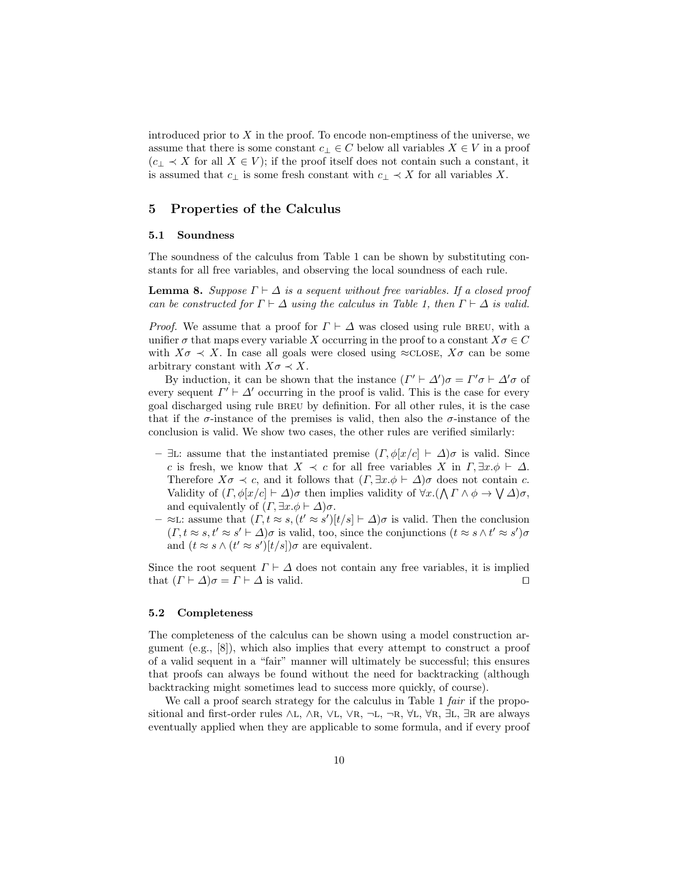introduced prior to  $X$  in the proof. To encode non-emptiness of the universe, we assume that there is some constant  $c_{\perp} \in C$  below all variables  $X \in V$  in a proof  $(c<sub>⊥</sub> \prec X$  for all  $X \in V$ ); if the proof itself does not contain such a constant, it is assumed that  $c_{\perp}$  is some fresh constant with  $c_{\perp} \prec X$  for all variables X.

### 5 Properties of the Calculus

### 5.1 Soundness

The soundness of the calculus from Table 1 can be shown by substituting constants for all free variables, and observing the local soundness of each rule.

**Lemma 8.** Suppose  $\Gamma \vdash \Delta$  is a sequent without free variables. If a closed proof can be constructed for  $\Gamma \vdash \Delta$  using the calculus in Table 1, then  $\Gamma \vdash \Delta$  is valid.

*Proof.* We assume that a proof for  $\Gamma \vdash \Delta$  was closed using rule BREU, with a unifier  $\sigma$  that maps every variable X occurring in the proof to a constant  $X\sigma \in C$ with  $X\sigma \prec X$ . In case all goals were closed using ≈CLOSE,  $X\sigma$  can be some arbitrary constant with  $X\sigma \prec X$ .

By induction, it can be shown that the instance  $(\Gamma' \vdash \Delta')\sigma = \Gamma'\sigma \vdash \Delta'\sigma$  of every sequent  $\Gamma' \vdash \Delta'$  occurring in the proof is valid. This is the case for every goal discharged using rule BREU by definition. For all other rules, it is the case that if the  $\sigma$ -instance of the premises is valid, then also the  $\sigma$ -instance of the conclusion is valid. We show two cases, the other rules are verified similarly:

- ∃L: assume that the instantiated premise  $(\Gamma, \phi[x/c] \vdash \Delta)\sigma$  is valid. Since c is fresh, we know that  $X \prec c$  for all free variables X in  $\Gamma$ ,  $\exists x.\phi \vdash \Delta$ . Therefore  $X\sigma \prec c$ , and it follows that  $(\Gamma, \exists x.\phi \vdash \Delta)\sigma$  does not contain c. Validity of  $(\Gamma, \phi[x/c] \vdash \Delta)\sigma$  then implies validity of  $\forall x.(\bigwedge \Gamma \wedge \phi \rightarrow \bigvee \Delta)\sigma$ , and equivalently of  $(\Gamma, \exists x.\phi \vdash \Delta)\sigma$ .
- $\approx L$ : assume that  $(\Gamma, t \approx s, (t' \approx s')[t/s] \vdash \Delta)\sigma$  is valid. Then the conclusion  $(T, t \approx s, t' \approx s' \vdash \Delta)\sigma$  is valid, too, since the conjunctions  $(t \approx s \wedge t' \approx s')\sigma$ and  $(t \approx s \wedge (t' \approx s')[t/s])\sigma$  are equivalent.

Since the root sequent  $\Gamma \vdash \Delta$  does not contain any free variables, it is implied that  $(\Gamma \vdash \Delta) \sigma = \Gamma \vdash \Delta$  is valid.

### 5.2 Completeness

The completeness of the calculus can be shown using a model construction argument (e.g., [8]), which also implies that every attempt to construct a proof of a valid sequent in a "fair" manner will ultimately be successful; this ensures that proofs can always be found without the need for backtracking (although backtracking might sometimes lead to success more quickly, of course).

We call a proof search strategy for the calculus in Table 1 *fair* if the propositional and first-order rules  $\wedge L$ ,  $\wedge R$ ,  $\vee L$ ,  $\vee R$ ,  $\neg L$ ,  $\neg R$ ,  $\forall L$ ,  $\forall R$ ,  $\exists L$ ,  $\exists R$  are always eventually applied when they are applicable to some formula, and if every proof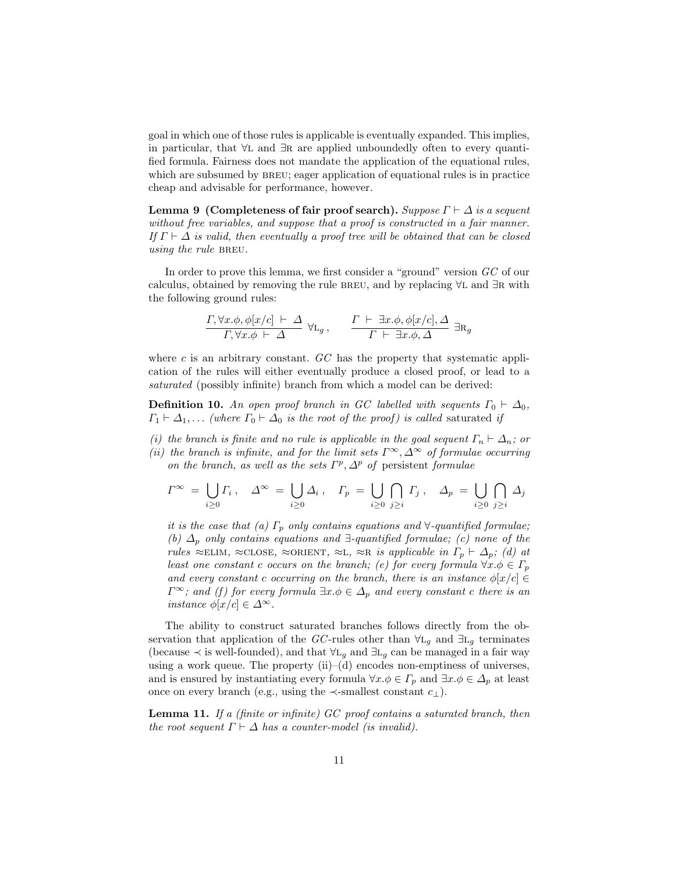goal in which one of those rules is applicable is eventually expanded. This implies, in particular, that ∀l and ∃r are applied unboundedly often to every quantified formula. Fairness does not mandate the application of the equational rules, which are subsumed by BREU; eager application of equational rules is in practice cheap and advisable for performance, however.

Lemma 9 (Completeness of fair proof search). Suppose  $\Gamma \vdash \Delta$  is a sequent without free variables, and suppose that a proof is constructed in a fair manner. If  $\Gamma \vdash \Delta$  is valid, then eventually a proof tree will be obtained that can be closed using the rule BREU.

In order to prove this lemma, we first consider a "ground" version  $GC$  of our calculus, obtained by removing the rule BREU, and by replacing  $\forall L$  and  $\exists R$  with the following ground rules:

$$
\frac{\Gamma, \forall x.\phi, \phi[x/c] \vdash \Delta}{\Gamma, \forall x.\phi \vdash \Delta} \ \forall \mathbf{L}_g \,, \qquad \frac{\Gamma \vdash \exists x.\phi, \phi[x/c], \Delta}{\Gamma \vdash \exists x.\phi, \Delta} \ \exists \mathbf{R}_g
$$

where  $c$  is an arbitrary constant.  $GC$  has the property that systematic application of the rules will either eventually produce a closed proof, or lead to a saturated (possibly infinite) branch from which a model can be derived:

**Definition 10.** An open proof branch in GC labelled with sequents  $\Gamma_0 \vdash \Delta_0$ ,  $\Gamma_1 \vdash \Delta_1, \ldots$  (where  $\Gamma_0 \vdash \Delta_0$  is the root of the proof) is called saturated if

(i) the branch is finite and no rule is applicable in the goal sequent  $\Gamma_n \vdash \Delta_n$ ; or (ii) the branch is infinite, and for the limit sets  $\Gamma^{\infty}, \Delta^{\infty}$  of formulae occurring on the branch, as well as the sets  $\Gamma^p$ ,  $\Delta^p$  of persistent formulae

$$
\Gamma^{\infty} = \bigcup_{i \geq 0} \Gamma_i, \quad \Delta^{\infty} = \bigcup_{i \geq 0} \Delta_i, \quad \Gamma_p = \bigcup_{i \geq 0} \bigcap_{j \geq i} \Gamma_j, \quad \Delta_p = \bigcup_{i \geq 0} \bigcap_{j \geq i} \Delta_j
$$

it is the case that (a)  $\Gamma_p$  only contains equations and  $\forall$ -quantified formulae; (b)  $\Delta_p$  only contains equations and  $\exists$ -quantified formulae; (c) none of the rules ≈ELIM, ≈CLOSE, ≈ORIENT, ≈L, ≈R is applicable in  $\Gamma_p \vdash \Delta_p$ ; (d) at least one constant c occurs on the branch; (e) for every formula  $\forall x.\phi \in \Gamma_p$ and every constant c occurring on the branch, there is an instance  $\phi[x/c] \in$  $\Gamma^{\infty}$ ; and (f) for every formula  $\exists x.\phi \in \Delta_p$  and every constant c there is an instance  $\phi[x/c] \in \Delta^{\infty}$ .

The ability to construct saturated branches follows directly from the observation that application of the GC-rules other than  $\forall L_q$  and  $\exists L_q$  terminates (because  $\prec$  is well-founded), and that  $\forall L_g$  and  $\exists L_g$  can be managed in a fair way using a work queue. The property (ii)–(d) encodes non-emptiness of universes, and is ensured by instantiating every formula  $\forall x.\phi \in \Gamma_p$  and  $\exists x.\phi \in \Delta_p$  at least once on every branch (e.g., using the  $\prec$ -smallest constant  $c_{\perp}$ ).

Lemma 11. If a (finite or infinite) GC proof contains a saturated branch, then the root sequent  $\Gamma \vdash \Delta$  has a counter-model (is invalid).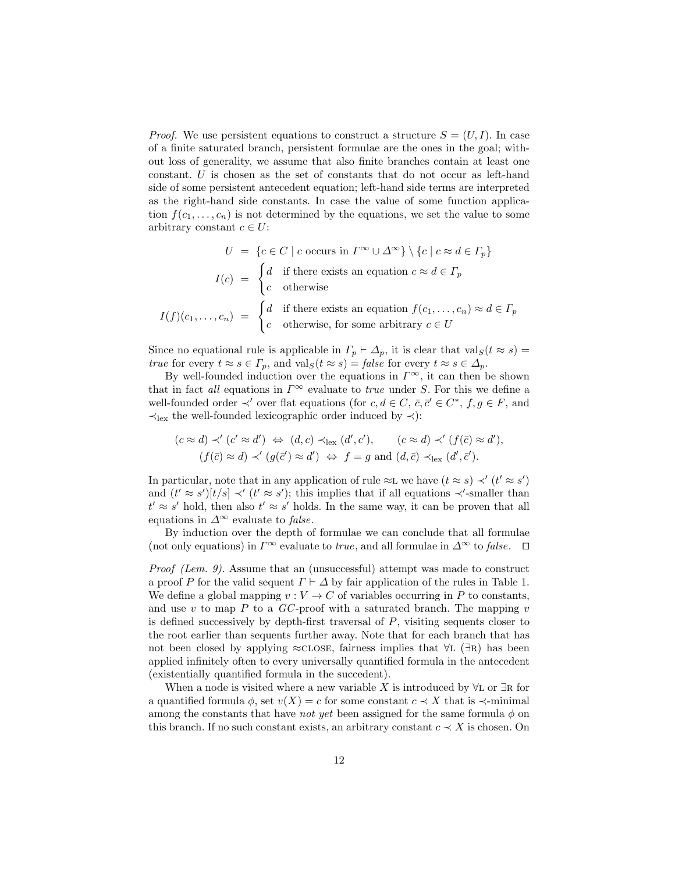*Proof.* We use persistent equations to construct a structure  $S = (U, I)$ . In case of a finite saturated branch, persistent formulae are the ones in the goal; without loss of generality, we assume that also finite branches contain at least one constant. U is chosen as the set of constants that do not occur as left-hand side of some persistent antecedent equation; left-hand side terms are interpreted as the right-hand side constants. In case the value of some function application  $f(c_1, \ldots, c_n)$  is not determined by the equations, we set the value to some arbitrary constant  $c \in U$ :

$$
U = \{c \in C \mid c \text{ occurs in } \Gamma^{\infty} \cup \Delta^{\infty}\} \setminus \{c \mid c \approx d \in \Gamma_p\}
$$

$$
I(c) = \begin{cases} d & \text{if there exists an equation } c \approx d \in \Gamma_p \\ c & \text{otherwise} \end{cases}
$$

$$
I(f)(c_1, \dots, c_n) = \begin{cases} d & \text{if there exists an equation } f(c_1, \dots, c_n) \approx d \in \Gamma_p \\ c & \text{otherwise, for some arbitrary } c \in U \end{cases}
$$

Since no equational rule is applicable in  $\Gamma_p \vdash \Delta_p$ , it is clear that val $s(t \approx s)$ true for every  $t \approx s \in \Gamma_p$ , and val $s(t \approx s) = false$  for every  $t \approx s \in \Delta_p$ .

By well-founded induction over the equations in  $\Gamma^{\infty}$ , it can then be shown that in fact all equations in  $\Gamma^\infty$  evaluate to *true* under S. For this we define a well-founded order  $\prec'$  over flat equations (for  $c, d \in C$ ,  $\overline{c}, \overline{c'} \in C^*$ ,  $f, g \in F$ , and  $\prec_{\text{lex}}$  the well-founded lexicographic order induced by  $\prec$ ):

$$
(c \approx d) \prec' (c' \approx d') \Leftrightarrow (d, c) \prec_{\text{lex}} (d', c'), \quad (c \approx d) \prec' (f(\bar{c}) \approx d'),(f(\bar{c}) \approx d) \prec' (g(\bar{c}') \approx d') \Leftrightarrow f = g \text{ and } (d, \bar{c}) \prec_{\text{lex}} (d', \bar{c}').
$$

In particular, note that in any application of rule  $\approx$ L we have  $(t \approx s) \prec' (t' \approx s')$ and  $(t' \approx s')[t/s] \prec' (t' \approx s')$ ; this implies that if all equations  $\prec'$ -smaller than  $t' \approx s'$  hold, then also  $t' \approx s'$  holds. In the same way, it can be proven that all equations in  $\Delta^{\infty}$  evaluate to *false*.

By induction over the depth of formulae we can conclude that all formulae (not only equations) in  $\Gamma^{\infty}$  evaluate to true, and all formulae in  $\Delta^{\infty}$  to false.  $\Box$ 

Proof (Lem. 9). Assume that an (unsuccessful) attempt was made to construct a proof P for the valid sequent  $\Gamma \vdash \Delta$  by fair application of the rules in Table 1. We define a global mapping  $v: V \to C$  of variables occurring in P to constants, and use v to map P to a  $GC$ -proof with a saturated branch. The mapping v is defined successively by depth-first traversal of  $P$ , visiting sequents closer to the root earlier than sequents further away. Note that for each branch that has not been closed by applying ≈close, fairness implies that  $\forall L$  ( $\exists R$ ) has been applied infinitely often to every universally quantified formula in the antecedent (existentially quantified formula in the succedent).

When a node is visited where a new variable X is introduced by  $\forall L$  or  $\exists R$  for a quantified formula  $\phi$ , set  $v(X) = c$  for some constant  $c \prec X$  that is  $\prec$ -minimal among the constants that have *not yet* been assigned for the same formula  $\phi$  on this branch. If no such constant exists, an arbitrary constant  $c \prec X$  is chosen. On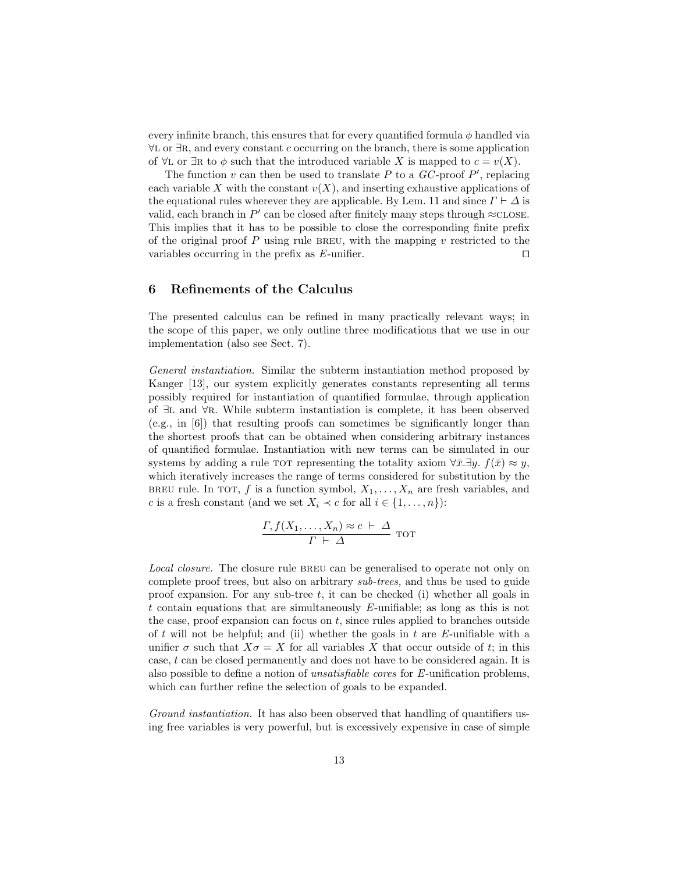every infinite branch, this ensures that for every quantified formula  $\phi$  handled via  $\forall L$  or  $\exists R$ , and every constant c occurring on the branch, there is some application of  $\forall$ L or  $\exists$ R to  $\phi$  such that the introduced variable X is mapped to  $c = v(X)$ .

The function  $v$  can then be used to translate  $P$  to a  $GC$ -proof  $P'$ , replacing each variable X with the constant  $v(X)$ , and inserting exhaustive applications of the equational rules wherever they are applicable. By Lem. 11 and since  $\Gamma \vdash \Delta$  is valid, each branch in  $P'$  can be closed after finitely many steps through  $\approx$ CLOSE. This implies that it has to be possible to close the corresponding finite prefix of the original proof  $P$  using rule BREU, with the mapping  $v$  restricted to the variables occurring in the prefix as  $E$ -unifier.  $\square$ 

# 6 Refinements of the Calculus

The presented calculus can be refined in many practically relevant ways; in the scope of this paper, we only outline three modifications that we use in our implementation (also see Sect. 7).

General instantiation. Similar the subterm instantiation method proposed by Kanger [13], our system explicitly generates constants representing all terms possibly required for instantiation of quantified formulae, through application of ∃l and ∀r. While subterm instantiation is complete, it has been observed (e.g., in [6]) that resulting proofs can sometimes be significantly longer than the shortest proofs that can be obtained when considering arbitrary instances of quantified formulae. Instantiation with new terms can be simulated in our systems by adding a rule TOT representing the totality axiom  $\forall \bar{x}.\exists y$ .  $f(\bar{x}) \approx y$ , which iteratively increases the range of terms considered for substitution by the BREU rule. In TOT, f is a function symbol,  $X_1, \ldots, X_n$  are fresh variables, and c is a fresh constant (and we set  $X_i \prec c$  for all  $i \in \{1, \ldots, n\}$ ):

$$
\frac{\Gamma, f(X_1, \dots, X_n) \approx c \vdash \Delta}{\Gamma \vdash \Delta} \text{ tor}
$$

Local closure. The closure rule BREU can be generalised to operate not only on complete proof trees, but also on arbitrary sub-trees, and thus be used to guide proof expansion. For any sub-tree  $t$ , it can be checked (i) whether all goals in t contain equations that are simultaneously E-unifiable; as long as this is not the case, proof expansion can focus on  $t$ , since rules applied to branches outside of t will not be helpful; and (ii) whether the goals in t are  $E$ -unifiable with a unifier  $\sigma$  such that  $X\sigma = X$  for all variables X that occur outside of t; in this case, t can be closed permanently and does not have to be considered again. It is also possible to define a notion of unsatisfiable cores for E-unification problems, which can further refine the selection of goals to be expanded.

Ground instantiation. It has also been observed that handling of quantifiers using free variables is very powerful, but is excessively expensive in case of simple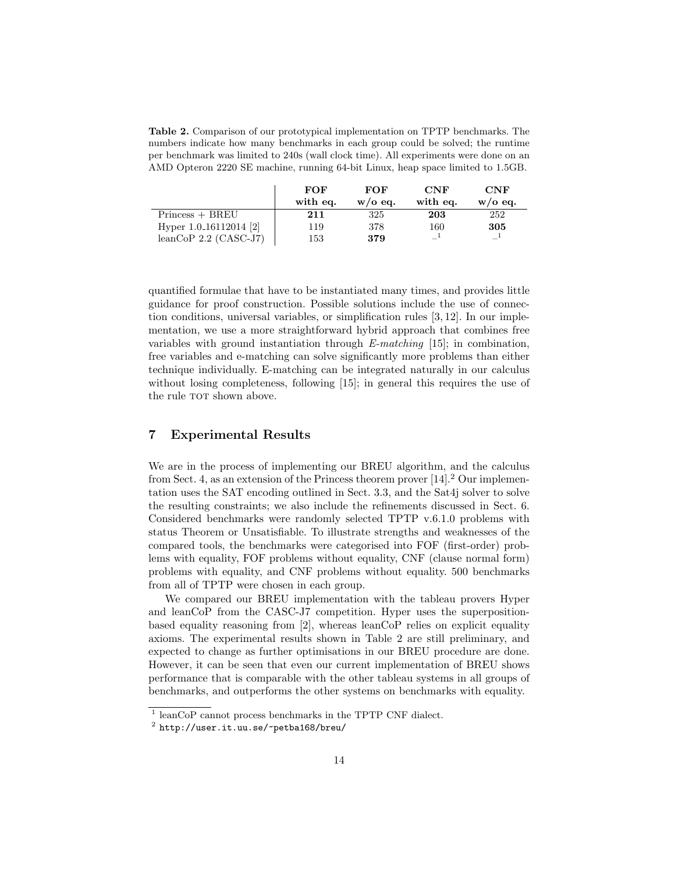Table 2. Comparison of our prototypical implementation on TPTP benchmarks. The numbers indicate how many benchmarks in each group could be solved; the runtime per benchmark was limited to 240s (wall clock time). All experiments were done on an AMD Opteron 2220 SE machine, running 64-bit Linux, heap space limited to 1.5GB.

|                                    | FOF      | FOF       | CNF      | <b>CNF</b> |
|------------------------------------|----------|-----------|----------|------------|
|                                    | with eq. | $w/o$ eq. | with eq. | $w/o$ eq.  |
| $Prances + BREU$                   | 211      | 325       | 203      | 252        |
| Hyper 1.0 <sub>-16112014</sub> [2] | 119      | 378       | 160      | 305        |
| leanCoP $2.2$ (CASC-J7)            | 153      | 379       |          |            |

quantified formulae that have to be instantiated many times, and provides little guidance for proof construction. Possible solutions include the use of connection conditions, universal variables, or simplification rules [3, 12]. In our implementation, we use a more straightforward hybrid approach that combines free variables with ground instantiation through E-matching [15]; in combination, free variables and e-matching can solve significantly more problems than either technique individually. E-matching can be integrated naturally in our calculus without losing completeness, following [15]; in general this requires the use of the rule TOT shown above.

# 7 Experimental Results

We are in the process of implementing our BREU algorithm, and the calculus from Sect. 4, as an extension of the Princess theorem prover  $[14].^2$  Our implementation uses the SAT encoding outlined in Sect. 3.3, and the Sat4j solver to solve the resulting constraints; we also include the refinements discussed in Sect. 6. Considered benchmarks were randomly selected TPTP v.6.1.0 problems with status Theorem or Unsatisfiable. To illustrate strengths and weaknesses of the compared tools, the benchmarks were categorised into FOF (first-order) problems with equality, FOF problems without equality, CNF (clause normal form) problems with equality, and CNF problems without equality. 500 benchmarks from all of TPTP were chosen in each group.

We compared our BREU implementation with the tableau provers Hyper and leanCoP from the CASC-J7 competition. Hyper uses the superpositionbased equality reasoning from [2], whereas leanCoP relies on explicit equality axioms. The experimental results shown in Table 2 are still preliminary, and expected to change as further optimisations in our BREU procedure are done. However, it can be seen that even our current implementation of BREU shows performance that is comparable with the other tableau systems in all groups of benchmarks, and outperforms the other systems on benchmarks with equality.

<sup>1</sup> leanCoP cannot process benchmarks in the TPTP CNF dialect.

 $^2$  http://user.it.uu.se/~petba168/breu/